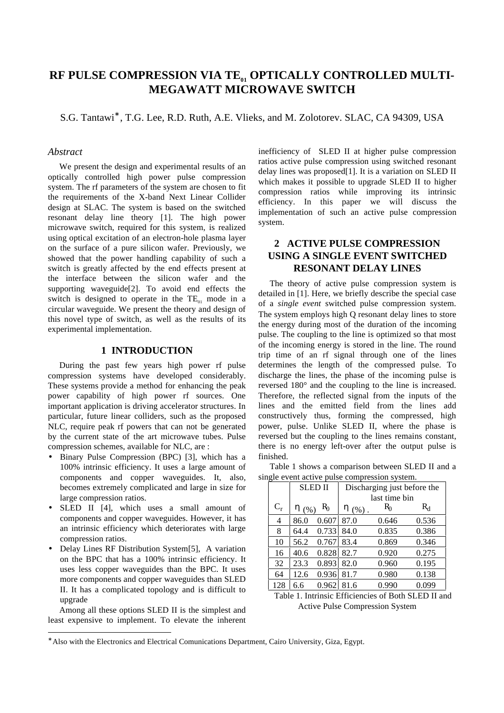# RF PULSE COMPRESSION VIA TE<sub>01</sub> OPTICALLY CONTROLLED MULTI-**MEGAWATT MICROWAVE SWITCH**

S.G. Tantawi<sup>\*</sup>, T.G. Lee, R.D. Ruth, A.E. Vlieks, and M. Zolotorev. SLAC, CA 94309, USA

## *Abstract*

We present the design and experimental results of an optically controlled high power pulse compression system. The rf parameters of the system are chosen to fit the requirements of the X-band Next Linear Collider design at SLAC. The system is based on the switched resonant delay line theory [1]. The high power microwave switch, required for this system, is realized using optical excitation of an electron-hole plasma layer on the surface of a pure silicon wafer. Previously, we showed that the power handling capability of such a switch is greatly affected by the end effects present at the interface between the silicon wafer and the supporting waveguide[2]. To avoid end effects the switch is designed to operate in the  $TE_{01}$  mode in a circular waveguide. We present the theory and design of this novel type of switch, as well as the results of its experimental implementation.

## **1 INTRODUCTION**

During the past few years high power rf pulse compression systems have developed considerably. These systems provide a method for enhancing the peak power capability of high power rf sources. One important application is driving accelerator structures. In particular, future linear colliders, such as the proposed NLC, require peak rf powers that can not be generated by the current state of the art microwave tubes. Pulse compression schemes, available for NLC, are :

- Binary Pulse Compression (BPC) [3], which has a 100% intrinsic efficiency. It uses a large amount of components and copper waveguides. It, also, becomes extremely complicated and large in size for large compression ratios.
- SLED II [4], which uses a small amount of components and copper waveguides. However, it has an intrinsic efficiency which deteriorates with large compression ratios.
- Delay Lines RF Distribution System[5],A variation on the BPC that has a 100% intrinsic efficiency. It uses less copper waveguides than the BPC. It uses more components and copper waveguides than SLED II. It has a complicated topology and is difficult to upgrade

Among all these options SLED II is the simplest and least expensive to implement. To elevate the inherent

 $\overline{a}$ 

inefficiency of SLED II at higher pulse compression ratios active pulse compression using switched resonant delay lines was proposed[1]. It is a variation on SLED II which makes it possible to upgrade SLED II to higher compression ratios while improving its intrinsic efficiency. In this paper we will discuss the implementation of such an active pulse compression system.

## **2 ACTIVE PULSE COMPRESSION USING A SINGLE EVENT SWITCHED RESONANT DELAY LINES**

The theory of active pulse compression system is detailed in [1]. Here, we briefly describe the special case of a *single event* switched pulse compression system. The system employs high Q resonant delay lines to store the energy during most of the duration of the incoming pulse. The coupling to the line is optimized so that most of the incoming energy is stored in the line. The round trip time of an rf signal through one of the lines determines the length of the compressed pulse. To discharge the lines, the phase of the incoming pulse is reversed 180° and the coupling to the line is increased. Therefore, the reflected signal from the inputs of the lines and the emitted field from the lines add constructively thus, forming the compressed, high power, pulse. Unlike SLED II, where the phase is reversed but the coupling to the lines remains constant, there is no energy left-over after the output pulse is finished.

| Table 1 shows a comparison between SLED II and a |  |  |  |
|--------------------------------------------------|--|--|--|
| single event active pulse compression system.    |  |  |  |

|       | <b>SLED II</b> |       | Discharging just before the |       |       |  |
|-------|----------------|-------|-----------------------------|-------|-------|--|
|       |                |       | last time bin               |       |       |  |
| $C_r$ | $\eta$ (%)     | R0    | η<br>(% )                   | R0    | $R_d$ |  |
| 4     | 86.0           | 0.607 | 87.0                        | 0.646 | 0.536 |  |
| 8     | 64.4           | 0.733 | 84.0                        | 0.835 | 0.386 |  |
| 10    | 56.2           | 0.767 | 83.4                        | 0.869 | 0.346 |  |
| 16    | 40.6           | 0.828 | 82.7                        | 0.920 | 0.275 |  |
| 32    | 23.3           | 0.893 | 82.0                        | 0.960 | 0.195 |  |
| 64    | 12.6           | 0.936 | 81.7                        | 0.980 | 0.138 |  |
| 128   | 6.6            | 0.962 | 81.6                        | 0.990 | 0.099 |  |

Table 1. Intrinsic Efficiencies of Both SLED II and Active Pulse Compression System

<sup>∗</sup> Also with the Electronics and Electrical Comunications Department, Cairo University, Giza, Egypt.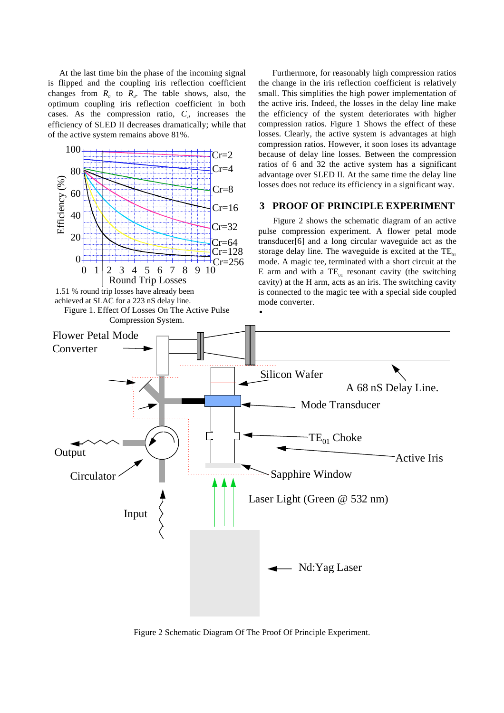At the last time bin the phase of the incoming signal is flipped and the coupling iris reflection coefficient changes from  $R_0$  to  $R_d$ . The table shows, also, the optimum coupling iris reflection coefficient in both cases. As the compression ratio,  $C_r$ , increases the efficiency of SLED II decreases dramatically; while that of the active system remains above 81%.



 Furthermore, for reasonably high compression ratios the change in the iris reflection coefficient is relatively small. This simplifies the high power implementation of the active iris. Indeed, the losses in the delay line make the efficiency of the system deteriorates with higher compression ratios. Figure 1 Shows the effect of these losses. Clearly, the active system is advantages at high

Figure 2 Schematic Diagram Of The Proof Of Principle Experiment.